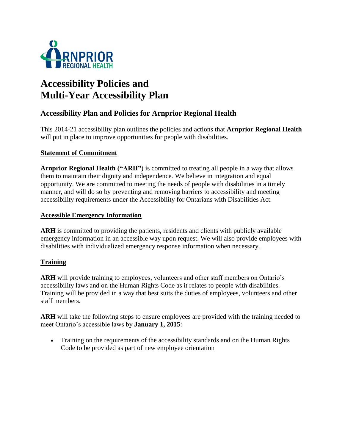

# **Accessibility Policies and Multi-Year Accessibility Plan**

## **Accessibility Plan and Policies for Arnprior Regional Health**

This 2014-21 accessibility plan outlines the policies and actions that **Arnprior Regional Health** will put in place to improve opportunities for people with disabilities.

#### **Statement of Commitment**

**Arnprior Regional Health ("ARH")** is committed to treating all people in a way that allows them to maintain their dignity and independence. We believe in integration and equal opportunity. We are committed to meeting the needs of people with disabilities in a timely manner, and will do so by preventing and removing barriers to accessibility and meeting accessibility requirements under the Accessibility for Ontarians with Disabilities Act.

#### **Accessible Emergency Information**

**ARH** is committed to providing the patients, residents and clients with publicly available emergency information in an accessible way upon request. We will also provide employees with disabilities with individualized emergency response information when necessary.

#### **Training**

**ARH** will provide training to employees, volunteers and other staff members on Ontario's accessibility laws and on the Human Rights Code as it relates to people with disabilities. Training will be provided in a way that best suits the duties of employees, volunteers and other staff members.

**ARH** will take the following steps to ensure employees are provided with the training needed to meet Ontario's accessible laws by **January 1, 2015**:

 Training on the requirements of the accessibility standards and on the Human Rights Code to be provided as part of new employee orientation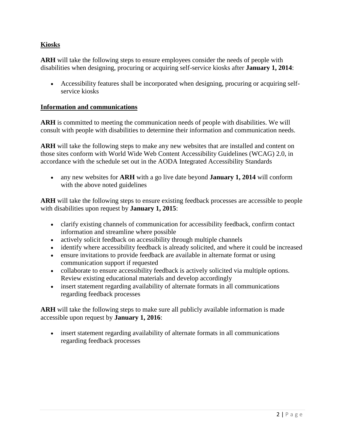### **Kiosks**

**ARH** will take the following steps to ensure employees consider the needs of people with disabilities when designing, procuring or acquiring self-service kiosks after **January 1, 2014**:

 Accessibility features shall be incorporated when designing, procuring or acquiring selfservice kiosks

#### **Information and communications**

**ARH** is committed to meeting the communication needs of people with disabilities. We will consult with people with disabilities to determine their information and communication needs.

**ARH** will take the following steps to make any new websites that are installed and content on those sites conform with World Wide Web Content Accessibility Guidelines (WCAG) 2.0, in accordance with the schedule set out in the AODA Integrated Accessibility Standards

 any new websites for **ARH** with a go live date beyond **January 1, 2014** will conform with the above noted guidelines

**ARH** will take the following steps to ensure existing feedback processes are accessible to people with disabilities upon request by **January 1, 2015**:

- clarify existing channels of communication for accessibility feedback, confirm contact information and streamline where possible
- actively solicit feedback on accessibility through multiple channels
- identify where accessibility feedback is already solicited, and where it could be increased
- ensure invitations to provide feedback are available in alternate format or using communication support if requested
- collaborate to ensure accessibility feedback is actively solicited via multiple options. Review existing educational materials and develop accordingly
- insert statement regarding availability of alternate formats in all communications regarding feedback processes

**ARH** will take the following steps to make sure all publicly available information is made accessible upon request by **January 1, 2016**:

 insert statement regarding availability of alternate formats in all communications regarding feedback processes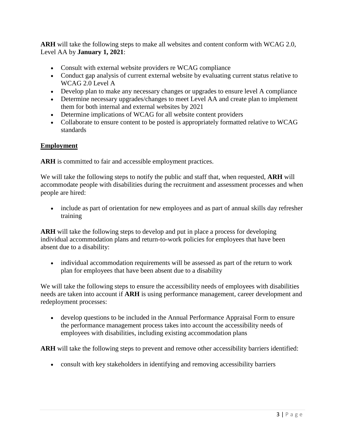**ARH** will take the following steps to make all websites and content conform with WCAG 2.0, Level AA by **January 1, 2021**:

- Consult with external website providers re WCAG compliance
- Conduct gap analysis of current external website by evaluating current status relative to WCAG 2.0 Level A
- Develop plan to make any necessary changes or upgrades to ensure level A compliance
- Determine necessary upgrades/changes to meet Level AA and create plan to implement them for both internal and external websites by 2021
- Determine implications of WCAG for all website content providers
- Collaborate to ensure content to be posted is appropriately formatted relative to WCAG standards

## **Employment**

ARH is committed to fair and accessible employment practices.

We will take the following steps to notify the public and staff that, when requested, **ARH** will accommodate people with disabilities during the recruitment and assessment processes and when people are hired:

• include as part of orientation for new employees and as part of annual skills day refresher training

**ARH** will take the following steps to develop and put in place a process for developing individual accommodation plans and return-to-work policies for employees that have been absent due to a disability:

• individual accommodation requirements will be assessed as part of the return to work plan for employees that have been absent due to a disability

We will take the following steps to ensure the accessibility needs of employees with disabilities needs are taken into account if **ARH** is using performance management, career development and redeployment processes:

 develop questions to be included in the Annual Performance Appraisal Form to ensure the performance management process takes into account the accessibility needs of employees with disabilities, including existing accommodation plans

**ARH** will take the following steps to prevent and remove other accessibility barriers identified:

consult with key stakeholders in identifying and removing accessibility barriers